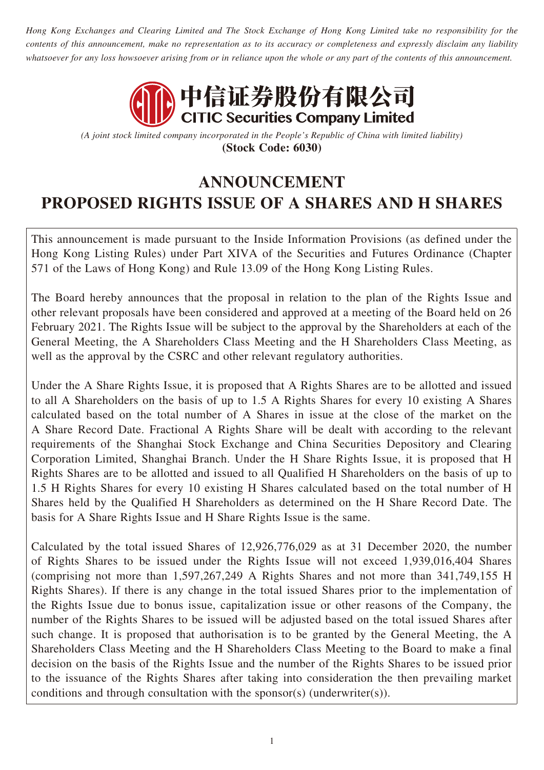*Hong Kong Exchanges and Clearing Limited and The Stock Exchange of Hong Kong Limited take no responsibility for the contents of this announcement, make no representation as to its accuracy or completeness and expressly disclaim any liability whatsoever for any loss howsoever arising from or in reliance upon the whole or any part of the contents of this announcement.*



*(A joint stock limited company incorporated in the People's Republic of China with limited liability)* **(Stock Code: 6030)**

# **ANNOUNCEMENT PROPOSED RIGHTS ISSUE OF A SHARES AND H SHARES**

This announcement is made pursuant to the Inside Information Provisions (as defined under the Hong Kong Listing Rules) under Part XIVA of the Securities and Futures Ordinance (Chapter 571 of the Laws of Hong Kong) and Rule 13.09 of the Hong Kong Listing Rules.

The Board hereby announces that the proposal in relation to the plan of the Rights Issue and other relevant proposals have been considered and approved at a meeting of the Board held on 26 February 2021. The Rights Issue will be subject to the approval by the Shareholders at each of the General Meeting, the A Shareholders Class Meeting and the H Shareholders Class Meeting, as well as the approval by the CSRC and other relevant regulatory authorities.

Under the A Share Rights Issue, it is proposed that A Rights Shares are to be allotted and issued to all A Shareholders on the basis of up to 1.5 A Rights Shares for every 10 existing A Shares calculated based on the total number of A Shares in issue at the close of the market on the A Share Record Date. Fractional A Rights Share will be dealt with according to the relevant requirements of the Shanghai Stock Exchange and China Securities Depository and Clearing Corporation Limited, Shanghai Branch. Under the H Share Rights Issue, it is proposed that H Rights Shares are to be allotted and issued to all Qualified H Shareholders on the basis of up to 1.5 H Rights Shares for every 10 existing H Shares calculated based on the total number of H Shares held by the Qualified H Shareholders as determined on the H Share Record Date. The basis for A Share Rights Issue and H Share Rights Issue is the same.

Calculated by the total issued Shares of 12,926,776,029 as at 31 December 2020, the number of Rights Shares to be issued under the Rights Issue will not exceed 1,939,016,404 Shares (comprising not more than 1,597,267,249 A Rights Shares and not more than 341,749,155 H Rights Shares). If there is any change in the total issued Shares prior to the implementation of the Rights Issue due to bonus issue, capitalization issue or other reasons of the Company, the number of the Rights Shares to be issued will be adjusted based on the total issued Shares after such change. It is proposed that authorisation is to be granted by the General Meeting, the A Shareholders Class Meeting and the H Shareholders Class Meeting to the Board to make a final decision on the basis of the Rights Issue and the number of the Rights Shares to be issued prior to the issuance of the Rights Shares after taking into consideration the then prevailing market conditions and through consultation with the sponsor(s) (underwriter(s)).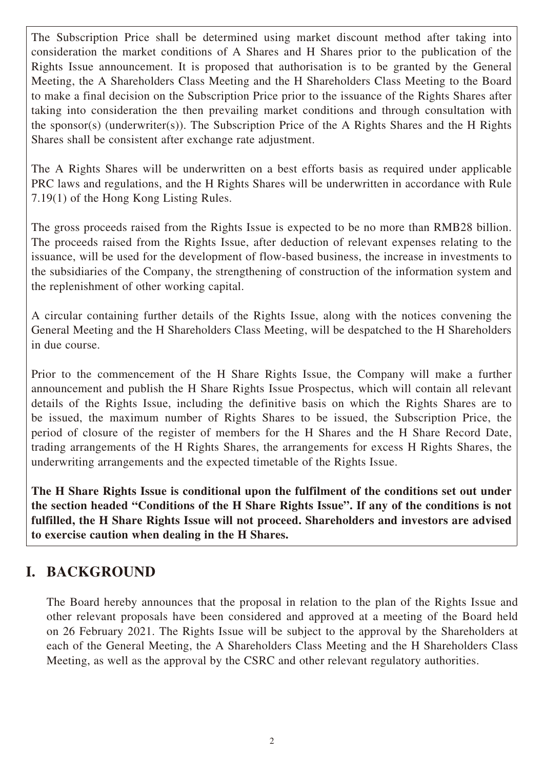The Subscription Price shall be determined using market discount method after taking into consideration the market conditions of A Shares and H Shares prior to the publication of the Rights Issue announcement. It is proposed that authorisation is to be granted by the General Meeting, the A Shareholders Class Meeting and the H Shareholders Class Meeting to the Board to make a final decision on the Subscription Price prior to the issuance of the Rights Shares after taking into consideration the then prevailing market conditions and through consultation with the sponsor(s) (underwriter(s)). The Subscription Price of the A Rights Shares and the H Rights Shares shall be consistent after exchange rate adjustment.

The A Rights Shares will be underwritten on a best efforts basis as required under applicable PRC laws and regulations, and the H Rights Shares will be underwritten in accordance with Rule 7.19(1) of the Hong Kong Listing Rules.

The gross proceeds raised from the Rights Issue is expected to be no more than RMB28 billion. The proceeds raised from the Rights Issue, after deduction of relevant expenses relating to the issuance, will be used for the development of flow-based business, the increase in investments to the subsidiaries of the Company, the strengthening of construction of the information system and the replenishment of other working capital.

A circular containing further details of the Rights Issue, along with the notices convening the General Meeting and the H Shareholders Class Meeting, will be despatched to the H Shareholders in due course.

Prior to the commencement of the H Share Rights Issue, the Company will make a further announcement and publish the H Share Rights Issue Prospectus, which will contain all relevant details of the Rights Issue, including the definitive basis on which the Rights Shares are to be issued, the maximum number of Rights Shares to be issued, the Subscription Price, the period of closure of the register of members for the H Shares and the H Share Record Date, trading arrangements of the H Rights Shares, the arrangements for excess H Rights Shares, the underwriting arrangements and the expected timetable of the Rights Issue.

**The H Share Rights Issue is conditional upon the fulfilment of the conditions set out under the section headed "Conditions of the H Share Rights Issue". If any of the conditions is not fulfilled, the H Share Rights Issue will not proceed. Shareholders and investors are advised to exercise caution when dealing in the H Shares.**

## **I. BACKGROUND**

The Board hereby announces that the proposal in relation to the plan of the Rights Issue and other relevant proposals have been considered and approved at a meeting of the Board held on 26 February 2021. The Rights Issue will be subject to the approval by the Shareholders at each of the General Meeting, the A Shareholders Class Meeting and the H Shareholders Class Meeting, as well as the approval by the CSRC and other relevant regulatory authorities.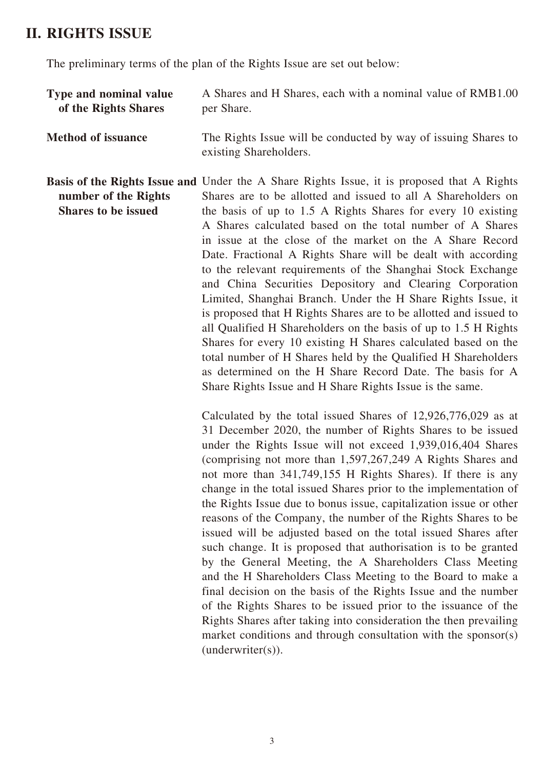## **II. RIGHTS ISSUE**

The preliminary terms of the plan of the Rights Issue are set out below:

| Type and nominal value<br>of the Rights Shares     | A Shares and H Shares, each with a nominal value of RMB1.00<br>per Share.                                                                                                                                                                                                                                                                                                                                                                                                                                                                                                                                                                                                                                                                                                                                                                                                                                                                                                                                                  |
|----------------------------------------------------|----------------------------------------------------------------------------------------------------------------------------------------------------------------------------------------------------------------------------------------------------------------------------------------------------------------------------------------------------------------------------------------------------------------------------------------------------------------------------------------------------------------------------------------------------------------------------------------------------------------------------------------------------------------------------------------------------------------------------------------------------------------------------------------------------------------------------------------------------------------------------------------------------------------------------------------------------------------------------------------------------------------------------|
| <b>Method of issuance</b>                          | The Rights Issue will be conducted by way of issuing Shares to<br>existing Shareholders.                                                                                                                                                                                                                                                                                                                                                                                                                                                                                                                                                                                                                                                                                                                                                                                                                                                                                                                                   |
| number of the Rights<br><b>Shares to be issued</b> | <b>Basis of the Rights Issue and Under the A Share Rights Issue, it is proposed that A Rights</b><br>Shares are to be allotted and issued to all A Shareholders on<br>the basis of up to 1.5 A Rights Shares for every 10 existing<br>A Shares calculated based on the total number of A Shares<br>in issue at the close of the market on the A Share Record<br>Date. Fractional A Rights Share will be dealt with according<br>to the relevant requirements of the Shanghai Stock Exchange<br>and China Securities Depository and Clearing Corporation<br>Limited, Shanghai Branch. Under the H Share Rights Issue, it<br>is proposed that H Rights Shares are to be allotted and issued to<br>all Qualified H Shareholders on the basis of up to 1.5 H Rights<br>Shares for every 10 existing H Shares calculated based on the<br>total number of H Shares held by the Qualified H Shareholders<br>as determined on the H Share Record Date. The basis for A<br>Share Rights Issue and H Share Rights Issue is the same. |
|                                                    | Calculated by the total issued Shares of 12,926,776,029 as at<br>31 December 2020, the number of Rights Shares to be issued<br>under the Rights Issue will not exceed 1,939,016,404 Shares<br>(comprising not more than 1,597,267,249 A Rights Shares and<br>not more than 341,749,155 H Rights Shares). If there is any<br>change in the total issued Shares prior to the implementation of                                                                                                                                                                                                                                                                                                                                                                                                                                                                                                                                                                                                                               |

the Rights Issue due to bonus issue, capitalization issue or other reasons of the Company, the number of the Rights Shares to be issued will be adjusted based on the total issued Shares after such change. It is proposed that authorisation is to be granted by the General Meeting, the A Shareholders Class Meeting and the H Shareholders Class Meeting to the Board to make a final decision on the basis of the Rights Issue and the number of the Rights Shares to be issued prior to the issuance of the Rights Shares after taking into consideration the then prevailing market conditions and through consultation with the sponsor(s) (underwriter(s)).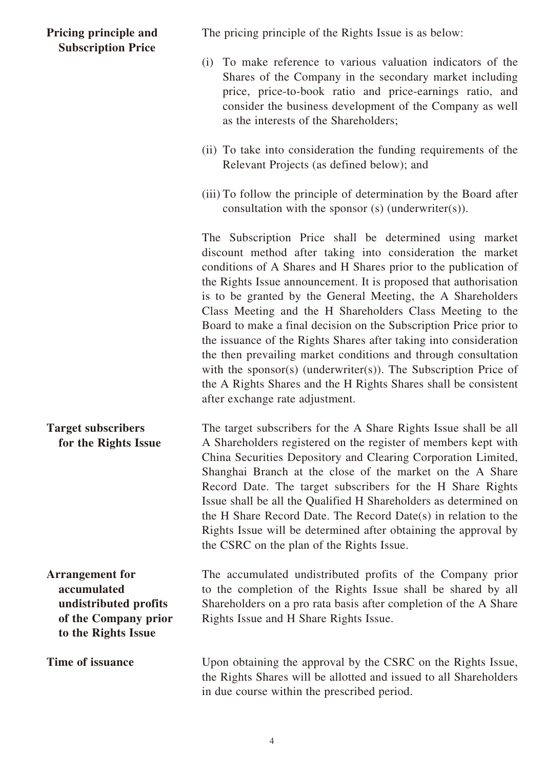#### **Pricing principle and Subscription Price**

The pricing principle of the Rights Issue is as below:

- (i) To make reference to various valuation indicators of the Shares of the Company in the secondary market including price, price-to-book ratio and price-earnings ratio, and consider the business development of the Company as well as the interests of the Shareholders;
- (ii) To take into consideration the funding requirements of the Relevant Projects (as defined below); and
- (iii) To follow the principle of determination by the Board after consultation with the sponsor (s) (underwriter(s)).

The Subscription Price shall be determined using market discount method after taking into consideration the market conditions of A Shares and H Shares prior to the publication of the Rights Issue announcement. It is proposed that authorisation is to be granted by the General Meeting, the A Shareholders Class Meeting and the H Shareholders Class Meeting to the Board to make a final decision on the Subscription Price prior to the issuance of the Rights Shares after taking into consideration the then prevailing market conditions and through consultation with the sponsor(s) (underwriter(s)). The Subscription Price of the A Rights Shares and the H Rights Shares shall be consistent after exchange rate adjustment.

**Target subscribers for the Rights Issue** The target subscribers for the A Share Rights Issue shall be all A Shareholders registered on the register of members kept with China Securities Depository and Clearing Corporation Limited, Shanghai Branch at the close of the market on the A Share Record Date. The target subscribers for the H Share Rights Issue shall be all the Qualified H Shareholders as determined on the H Share Record Date. The Record Date(s) in relation to the Rights Issue will be determined after obtaining the approval by the CSRC on the plan of the Rights Issue.

**Arrangement for accumulated undistributed profits of the Company prior to the Rights Issue**

The accumulated undistributed profits of the Company prior to the completion of the Rights Issue shall be shared by all Shareholders on a pro rata basis after completion of the A Share Rights Issue and H Share Rights Issue.

**Time of issuance** Upon obtaining the approval by the CSRC on the Rights Issue, the Rights Shares will be allotted and issued to all Shareholders in due course within the prescribed period.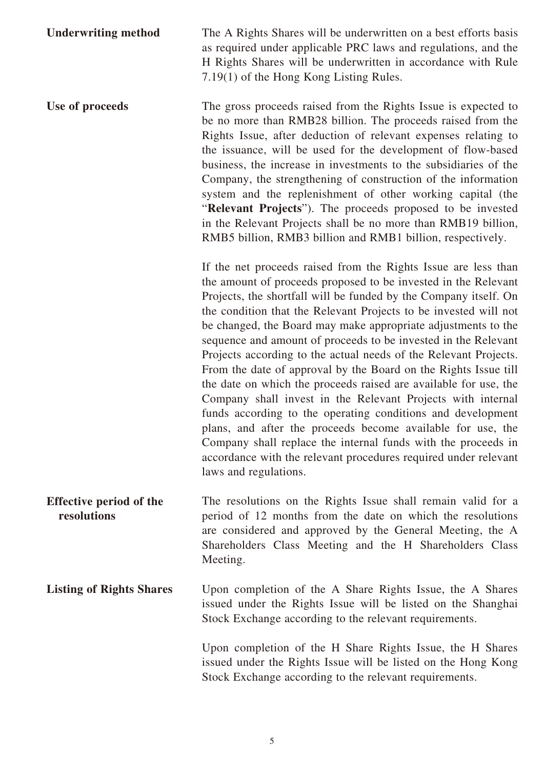**Underwriting method** The A Rights Shares will be underwritten on a best efforts basis as required under applicable PRC laws and regulations, and the H Rights Shares will be underwritten in accordance with Rule 7.19(1) of the Hong Kong Listing Rules.

Use of proceeds The gross proceeds raised from the Rights Issue is expected to be no more than RMB28 billion. The proceeds raised from the Rights Issue, after deduction of relevant expenses relating to the issuance, will be used for the development of flow-based business, the increase in investments to the subsidiaries of the Company, the strengthening of construction of the information system and the replenishment of other working capital (the "**Relevant Projects**"). The proceeds proposed to be invested in the Relevant Projects shall be no more than RMB19 billion, RMB5 billion, RMB3 billion and RMB1 billion, respectively.

> If the net proceeds raised from the Rights Issue are less than the amount of proceeds proposed to be invested in the Relevant Projects, the shortfall will be funded by the Company itself. On the condition that the Relevant Projects to be invested will not be changed, the Board may make appropriate adjustments to the sequence and amount of proceeds to be invested in the Relevant Projects according to the actual needs of the Relevant Projects. From the date of approval by the Board on the Rights Issue till the date on which the proceeds raised are available for use, the Company shall invest in the Relevant Projects with internal funds according to the operating conditions and development plans, and after the proceeds become available for use, the Company shall replace the internal funds with the proceeds in accordance with the relevant procedures required under relevant laws and regulations.

**Effective period of the resolutions** The resolutions on the Rights Issue shall remain valid for a period of 12 months from the date on which the resolutions are considered and approved by the General Meeting, the A Shareholders Class Meeting and the H Shareholders Class Meeting.

Listing of Rights Shares Upon completion of the A Share Rights Issue, the A Shares issued under the Rights Issue will be listed on the Shanghai Stock Exchange according to the relevant requirements.

> Upon completion of the H Share Rights Issue, the H Shares issued under the Rights Issue will be listed on the Hong Kong Stock Exchange according to the relevant requirements.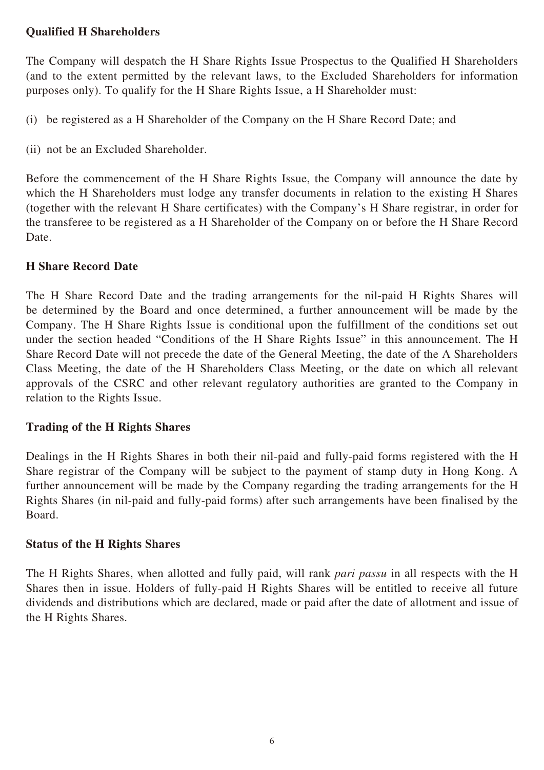## **Qualified H Shareholders**

The Company will despatch the H Share Rights Issue Prospectus to the Qualified H Shareholders (and to the extent permitted by the relevant laws, to the Excluded Shareholders for information purposes only). To qualify for the H Share Rights Issue, a H Shareholder must:

(i) be registered as a H Shareholder of the Company on the H Share Record Date; and

(ii) not be an Excluded Shareholder.

Before the commencement of the H Share Rights Issue, the Company will announce the date by which the H Shareholders must lodge any transfer documents in relation to the existing H Shares (together with the relevant H Share certificates) with the Company's H Share registrar, in order for the transferee to be registered as a H Shareholder of the Company on or before the H Share Record Date.

## **H Share Record Date**

The H Share Record Date and the trading arrangements for the nil-paid H Rights Shares will be determined by the Board and once determined, a further announcement will be made by the Company. The H Share Rights Issue is conditional upon the fulfillment of the conditions set out under the section headed "Conditions of the H Share Rights Issue" in this announcement. The H Share Record Date will not precede the date of the General Meeting, the date of the A Shareholders Class Meeting, the date of the H Shareholders Class Meeting, or the date on which all relevant approvals of the CSRC and other relevant regulatory authorities are granted to the Company in relation to the Rights Issue.

#### **Trading of the H Rights Shares**

Dealings in the H Rights Shares in both their nil-paid and fully-paid forms registered with the H Share registrar of the Company will be subject to the payment of stamp duty in Hong Kong. A further announcement will be made by the Company regarding the trading arrangements for the H Rights Shares (in nil-paid and fully-paid forms) after such arrangements have been finalised by the Board.

#### **Status of the H Rights Shares**

The H Rights Shares, when allotted and fully paid, will rank *pari passu* in all respects with the H Shares then in issue. Holders of fully-paid H Rights Shares will be entitled to receive all future dividends and distributions which are declared, made or paid after the date of allotment and issue of the H Rights Shares.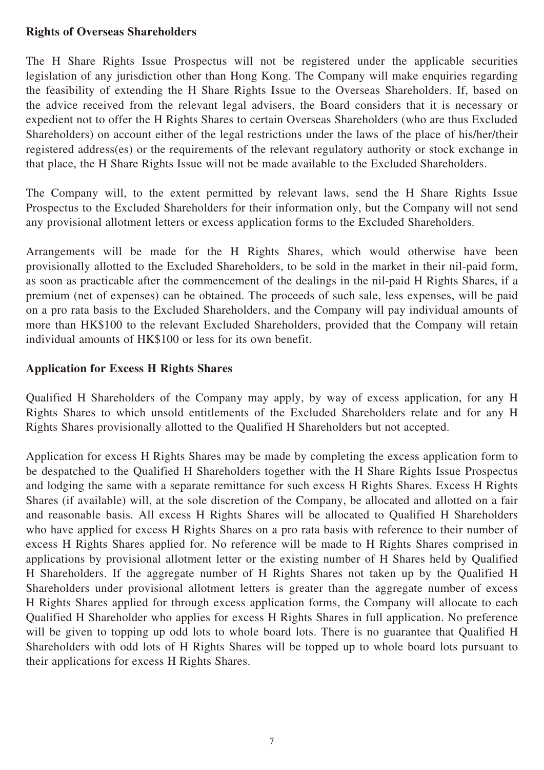#### **Rights of Overseas Shareholders**

The H Share Rights Issue Prospectus will not be registered under the applicable securities legislation of any jurisdiction other than Hong Kong. The Company will make enquiries regarding the feasibility of extending the H Share Rights Issue to the Overseas Shareholders. If, based on the advice received from the relevant legal advisers, the Board considers that it is necessary or expedient not to offer the H Rights Shares to certain Overseas Shareholders (who are thus Excluded Shareholders) on account either of the legal restrictions under the laws of the place of his/her/their registered address(es) or the requirements of the relevant regulatory authority or stock exchange in that place, the H Share Rights Issue will not be made available to the Excluded Shareholders.

The Company will, to the extent permitted by relevant laws, send the H Share Rights Issue Prospectus to the Excluded Shareholders for their information only, but the Company will not send any provisional allotment letters or excess application forms to the Excluded Shareholders.

Arrangements will be made for the H Rights Shares, which would otherwise have been provisionally allotted to the Excluded Shareholders, to be sold in the market in their nil-paid form, as soon as practicable after the commencement of the dealings in the nil-paid H Rights Shares, if a premium (net of expenses) can be obtained. The proceeds of such sale, less expenses, will be paid on a pro rata basis to the Excluded Shareholders, and the Company will pay individual amounts of more than HK\$100 to the relevant Excluded Shareholders, provided that the Company will retain individual amounts of HK\$100 or less for its own benefit.

#### **Application for Excess H Rights Shares**

Qualified H Shareholders of the Company may apply, by way of excess application, for any H Rights Shares to which unsold entitlements of the Excluded Shareholders relate and for any H Rights Shares provisionally allotted to the Qualified H Shareholders but not accepted.

Application for excess H Rights Shares may be made by completing the excess application form to be despatched to the Qualified H Shareholders together with the H Share Rights Issue Prospectus and lodging the same with a separate remittance for such excess H Rights Shares. Excess H Rights Shares (if available) will, at the sole discretion of the Company, be allocated and allotted on a fair and reasonable basis. All excess H Rights Shares will be allocated to Qualified H Shareholders who have applied for excess H Rights Shares on a pro rata basis with reference to their number of excess H Rights Shares applied for. No reference will be made to H Rights Shares comprised in applications by provisional allotment letter or the existing number of H Shares held by Qualified H Shareholders. If the aggregate number of H Rights Shares not taken up by the Qualified H Shareholders under provisional allotment letters is greater than the aggregate number of excess H Rights Shares applied for through excess application forms, the Company will allocate to each Qualified H Shareholder who applies for excess H Rights Shares in full application. No preference will be given to topping up odd lots to whole board lots. There is no guarantee that Qualified H Shareholders with odd lots of H Rights Shares will be topped up to whole board lots pursuant to their applications for excess H Rights Shares.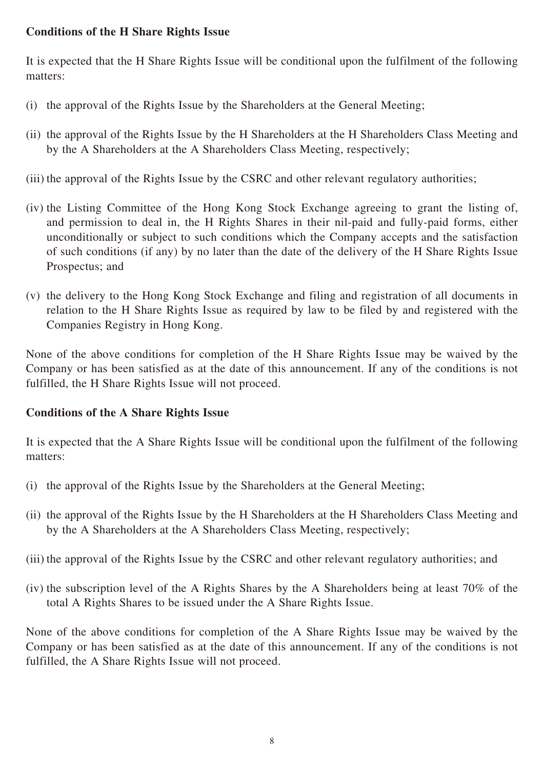## **Conditions of the H Share Rights Issue**

It is expected that the H Share Rights Issue will be conditional upon the fulfilment of the following matters:

- (i) the approval of the Rights Issue by the Shareholders at the General Meeting;
- (ii) the approval of the Rights Issue by the H Shareholders at the H Shareholders Class Meeting and by the A Shareholders at the A Shareholders Class Meeting, respectively;
- (iii) the approval of the Rights Issue by the CSRC and other relevant regulatory authorities;
- (iv) the Listing Committee of the Hong Kong Stock Exchange agreeing to grant the listing of, and permission to deal in, the H Rights Shares in their nil-paid and fully-paid forms, either unconditionally or subject to such conditions which the Company accepts and the satisfaction of such conditions (if any) by no later than the date of the delivery of the H Share Rights Issue Prospectus; and
- (v) the delivery to the Hong Kong Stock Exchange and filing and registration of all documents in relation to the H Share Rights Issue as required by law to be filed by and registered with the Companies Registry in Hong Kong.

None of the above conditions for completion of the H Share Rights Issue may be waived by the Company or has been satisfied as at the date of this announcement. If any of the conditions is not fulfilled, the H Share Rights Issue will not proceed.

## **Conditions of the A Share Rights Issue**

It is expected that the A Share Rights Issue will be conditional upon the fulfilment of the following matters:

- (i) the approval of the Rights Issue by the Shareholders at the General Meeting;
- (ii) the approval of the Rights Issue by the H Shareholders at the H Shareholders Class Meeting and by the A Shareholders at the A Shareholders Class Meeting, respectively;
- (iii) the approval of the Rights Issue by the CSRC and other relevant regulatory authorities; and
- (iv) the subscription level of the A Rights Shares by the A Shareholders being at least 70% of the total A Rights Shares to be issued under the A Share Rights Issue.

None of the above conditions for completion of the A Share Rights Issue may be waived by the Company or has been satisfied as at the date of this announcement. If any of the conditions is not fulfilled, the A Share Rights Issue will not proceed.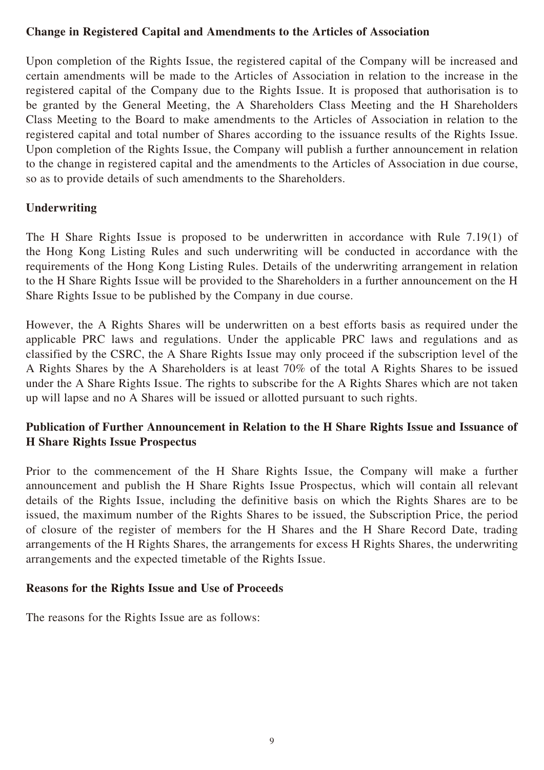## **Change in Registered Capital and Amendments to the Articles of Association**

Upon completion of the Rights Issue, the registered capital of the Company will be increased and certain amendments will be made to the Articles of Association in relation to the increase in the registered capital of the Company due to the Rights Issue. It is proposed that authorisation is to be granted by the General Meeting, the A Shareholders Class Meeting and the H Shareholders Class Meeting to the Board to make amendments to the Articles of Association in relation to the registered capital and total number of Shares according to the issuance results of the Rights Issue. Upon completion of the Rights Issue, the Company will publish a further announcement in relation to the change in registered capital and the amendments to the Articles of Association in due course, so as to provide details of such amendments to the Shareholders.

#### **Underwriting**

The H Share Rights Issue is proposed to be underwritten in accordance with Rule 7.19(1) of the Hong Kong Listing Rules and such underwriting will be conducted in accordance with the requirements of the Hong Kong Listing Rules. Details of the underwriting arrangement in relation to the H Share Rights Issue will be provided to the Shareholders in a further announcement on the H Share Rights Issue to be published by the Company in due course.

However, the A Rights Shares will be underwritten on a best efforts basis as required under the applicable PRC laws and regulations. Under the applicable PRC laws and regulations and as classified by the CSRC, the A Share Rights Issue may only proceed if the subscription level of the A Rights Shares by the A Shareholders is at least 70% of the total A Rights Shares to be issued under the A Share Rights Issue. The rights to subscribe for the A Rights Shares which are not taken up will lapse and no A Shares will be issued or allotted pursuant to such rights.

## **Publication of Further Announcement in Relation to the H Share Rights Issue and Issuance of H Share Rights Issue Prospectus**

Prior to the commencement of the H Share Rights Issue, the Company will make a further announcement and publish the H Share Rights Issue Prospectus, which will contain all relevant details of the Rights Issue, including the definitive basis on which the Rights Shares are to be issued, the maximum number of the Rights Shares to be issued, the Subscription Price, the period of closure of the register of members for the H Shares and the H Share Record Date, trading arrangements of the H Rights Shares, the arrangements for excess H Rights Shares, the underwriting arrangements and the expected timetable of the Rights Issue.

#### **Reasons for the Rights Issue and Use of Proceeds**

The reasons for the Rights Issue are as follows: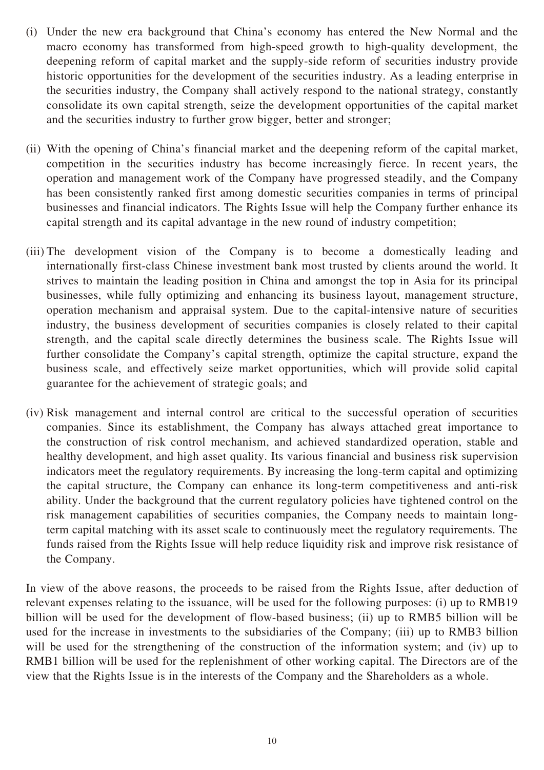- (i) Under the new era background that China's economy has entered the New Normal and the macro economy has transformed from high-speed growth to high-quality development, the deepening reform of capital market and the supply-side reform of securities industry provide historic opportunities for the development of the securities industry. As a leading enterprise in the securities industry, the Company shall actively respond to the national strategy, constantly consolidate its own capital strength, seize the development opportunities of the capital market and the securities industry to further grow bigger, better and stronger;
- (ii) With the opening of China's financial market and the deepening reform of the capital market, competition in the securities industry has become increasingly fierce. In recent years, the operation and management work of the Company have progressed steadily, and the Company has been consistently ranked first among domestic securities companies in terms of principal businesses and financial indicators. The Rights Issue will help the Company further enhance its capital strength and its capital advantage in the new round of industry competition;
- (iii) The development vision of the Company is to become a domestically leading and internationally first-class Chinese investment bank most trusted by clients around the world. It strives to maintain the leading position in China and amongst the top in Asia for its principal businesses, while fully optimizing and enhancing its business layout, management structure, operation mechanism and appraisal system. Due to the capital-intensive nature of securities industry, the business development of securities companies is closely related to their capital strength, and the capital scale directly determines the business scale. The Rights Issue will further consolidate the Company's capital strength, optimize the capital structure, expand the business scale, and effectively seize market opportunities, which will provide solid capital guarantee for the achievement of strategic goals; and
- (iv) Risk management and internal control are critical to the successful operation of securities companies. Since its establishment, the Company has always attached great importance to the construction of risk control mechanism, and achieved standardized operation, stable and healthy development, and high asset quality. Its various financial and business risk supervision indicators meet the regulatory requirements. By increasing the long-term capital and optimizing the capital structure, the Company can enhance its long-term competitiveness and anti-risk ability. Under the background that the current regulatory policies have tightened control on the risk management capabilities of securities companies, the Company needs to maintain longterm capital matching with its asset scale to continuously meet the regulatory requirements. The funds raised from the Rights Issue will help reduce liquidity risk and improve risk resistance of the Company.

In view of the above reasons, the proceeds to be raised from the Rights Issue, after deduction of relevant expenses relating to the issuance, will be used for the following purposes: (i) up to RMB19 billion will be used for the development of flow-based business; (ii) up to RMB5 billion will be used for the increase in investments to the subsidiaries of the Company; (iii) up to RMB3 billion will be used for the strengthening of the construction of the information system; and (iv) up to RMB1 billion will be used for the replenishment of other working capital. The Directors are of the view that the Rights Issue is in the interests of the Company and the Shareholders as a whole.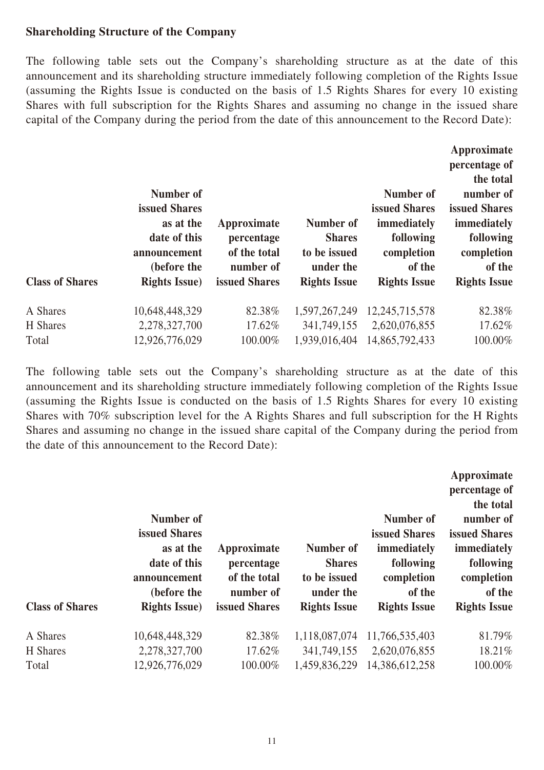#### **Shareholding Structure of the Company**

The following table sets out the Company's shareholding structure as at the date of this announcement and its shareholding structure immediately following completion of the Rights Issue (assuming the Rights Issue is conducted on the basis of 1.5 Rights Shares for every 10 existing Shares with full subscription for the Rights Shares and assuming no change in the issued share capital of the Company during the period from the date of this announcement to the Record Date):

|                        |                             |                           |                           |                      | Approximate<br>percentage of<br>the total |
|------------------------|-----------------------------|---------------------------|---------------------------|----------------------|-------------------------------------------|
|                        | Number of                   |                           |                           | Number of            | number of                                 |
|                        | <b>issued Shares</b>        |                           |                           | <b>issued Shares</b> | <b>issued Shares</b>                      |
|                        | as at the                   | Approximate               | Number of                 | immediately          | immediately                               |
|                        | date of this                | percentage                | <b>Shares</b>             | following            | following                                 |
|                        | announcement<br>(before the | of the total<br>number of | to be issued<br>under the | completion<br>of the | completion<br>of the                      |
| <b>Class of Shares</b> | <b>Rights Issue)</b>        | <b>issued Shares</b>      | <b>Rights Issue</b>       | <b>Rights Issue</b>  | <b>Rights Issue</b>                       |
| A Shares               | 10,648,448,329              | 82.38%                    | 1,597,267,249             | 12,245,715,578       | 82.38%                                    |
| H Shares               | 2,278,327,700               | 17.62%                    | 341,749,155               | 2,620,076,855        | 17.62%                                    |
| Total                  | 12,926,776,029              | 100.00%                   | 1,939,016,404             | 14,865,792,433       | 100.00%                                   |

The following table sets out the Company's shareholding structure as at the date of this announcement and its shareholding structure immediately following completion of the Rights Issue (assuming the Rights Issue is conducted on the basis of 1.5 Rights Shares for every 10 existing Shares with 70% subscription level for the A Rights Shares and full subscription for the H Rights Shares and assuming no change in the issued share capital of the Company during the period from the date of this announcement to the Record Date):

|                        | Number of                                                                                          |                                                                         | Number of<br><b>Shares</b><br>to be issued<br>under the<br><b>Rights Issue</b> | Number of<br><b>issued Shares</b><br>immediately<br>following<br>completion<br>of the<br><b>Rights Issue</b> | Approximate<br>percentage of<br>the total<br>number of<br><b>issued Shares</b><br>immediately<br>following<br>completion<br>of the<br><b>Rights Issue</b> |
|------------------------|----------------------------------------------------------------------------------------------------|-------------------------------------------------------------------------|--------------------------------------------------------------------------------|--------------------------------------------------------------------------------------------------------------|-----------------------------------------------------------------------------------------------------------------------------------------------------------|
| <b>Class of Shares</b> | issued Shares<br>as at the<br>date of this<br>announcement<br>(before the<br><b>Rights Issue</b> ) | Approximate<br>percentage<br>of the total<br>number of<br>issued Shares |                                                                                |                                                                                                              |                                                                                                                                                           |
| A Shares               | 10,648,448,329                                                                                     | 82.38%                                                                  | 1,118,087,074                                                                  | 11,766,535,403                                                                                               | 81.79%                                                                                                                                                    |
| H Shares               | 2,278,327,700                                                                                      | 17.62%                                                                  | 341,749,155                                                                    | 2,620,076,855                                                                                                | 18.21%                                                                                                                                                    |
| Total                  | 12,926,776,029                                                                                     | 100.00%                                                                 | 1,459,836,229                                                                  | 14,386,612,258                                                                                               | 100.00%                                                                                                                                                   |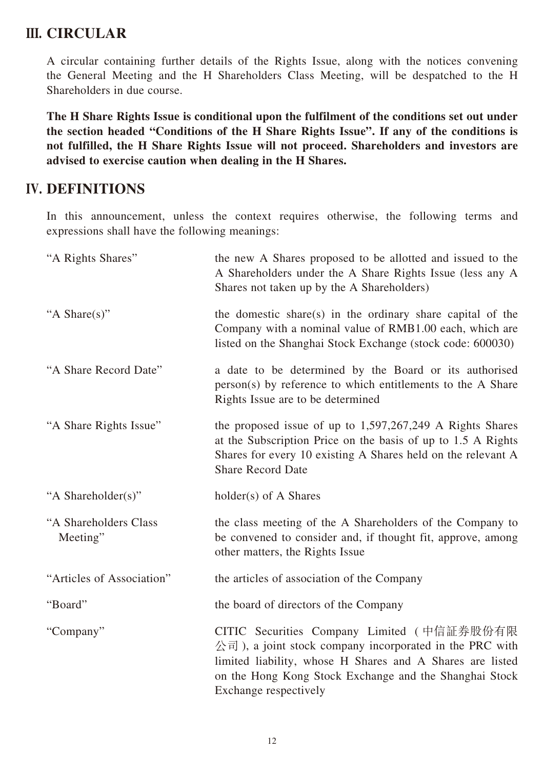## **III. CIRCULAR**

A circular containing further details of the Rights Issue, along with the notices convening the General Meeting and the H Shareholders Class Meeting, will be despatched to the H Shareholders in due course.

**The H Share Rights Issue is conditional upon the fulfilment of the conditions set out under the section headed "Conditions of the H Share Rights Issue". If any of the conditions is not fulfilled, the H Share Rights Issue will not proceed. Shareholders and investors are advised to exercise caution when dealing in the H Shares.**

## **IV. DEFINITIONS**

In this announcement, unless the context requires otherwise, the following terms and expressions shall have the following meanings:

| "A Rights Shares"                 | the new A Shares proposed to be allotted and issued to the<br>A Shareholders under the A Share Rights Issue (less any A<br>Shares not taken up by the A Shareholders)                                                                                                                    |
|-----------------------------------|------------------------------------------------------------------------------------------------------------------------------------------------------------------------------------------------------------------------------------------------------------------------------------------|
| "A Share(s)"                      | the domestic share(s) in the ordinary share capital of the<br>Company with a nominal value of RMB1.00 each, which are<br>listed on the Shanghai Stock Exchange (stock code: 600030)                                                                                                      |
| "A Share Record Date"             | a date to be determined by the Board or its authorised<br>person(s) by reference to which entitlements to the A Share<br>Rights Issue are to be determined                                                                                                                               |
| "A Share Rights Issue"            | the proposed issue of up to $1,597,267,249$ A Rights Shares<br>at the Subscription Price on the basis of up to 1.5 A Rights<br>Shares for every 10 existing A Shares held on the relevant A<br><b>Share Record Date</b>                                                                  |
| "A Shareholder(s)"                | holder(s) of A Shares                                                                                                                                                                                                                                                                    |
| "A Shareholders Class<br>Meeting" | the class meeting of the A Shareholders of the Company to<br>be convened to consider and, if thought fit, approve, among<br>other matters, the Rights Issue                                                                                                                              |
| "Articles of Association"         | the articles of association of the Company                                                                                                                                                                                                                                               |
| "Board"                           | the board of directors of the Company                                                                                                                                                                                                                                                    |
| "Company"                         | CITIC Securities Company Limited (中信証券股份有限<br>$\hat{\triangle}$ $\vec{\mathbb{E}}$ ), a joint stock company incorporated in the PRC with<br>limited liability, whose H Shares and A Shares are listed<br>on the Hong Kong Stock Exchange and the Shanghai Stock<br>Exchange respectively |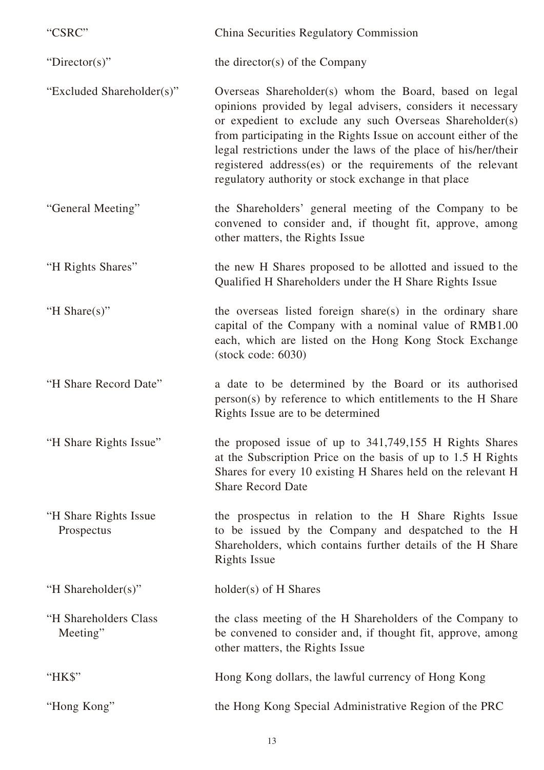| "CSRC"                              | China Securities Regulatory Commission                                                                                                                                                                                                                                                                                                                                                                                                        |
|-------------------------------------|-----------------------------------------------------------------------------------------------------------------------------------------------------------------------------------------------------------------------------------------------------------------------------------------------------------------------------------------------------------------------------------------------------------------------------------------------|
| "Director(s)"                       | the director(s) of the Company                                                                                                                                                                                                                                                                                                                                                                                                                |
| "Excluded Shareholder(s)"           | Overseas Shareholder(s) whom the Board, based on legal<br>opinions provided by legal advisers, considers it necessary<br>or expedient to exclude any such Overseas Shareholder(s)<br>from participating in the Rights Issue on account either of the<br>legal restrictions under the laws of the place of his/her/their<br>registered address(es) or the requirements of the relevant<br>regulatory authority or stock exchange in that place |
| "General Meeting"                   | the Shareholders' general meeting of the Company to be<br>convened to consider and, if thought fit, approve, among<br>other matters, the Rights Issue                                                                                                                                                                                                                                                                                         |
| "H Rights Shares"                   | the new H Shares proposed to be allotted and issued to the<br>Qualified H Shareholders under the H Share Rights Issue                                                                                                                                                                                                                                                                                                                         |
| "H Share $(s)$ "                    | the overseas listed foreign share(s) in the ordinary share<br>capital of the Company with a nominal value of RMB1.00<br>each, which are listed on the Hong Kong Stock Exchange<br>$(\text{stock code: } 6030)$                                                                                                                                                                                                                                |
| "H Share Record Date"               | a date to be determined by the Board or its authorised<br>person(s) by reference to which entitlements to the H Share<br>Rights Issue are to be determined                                                                                                                                                                                                                                                                                    |
| "H Share Rights Issue"              | the proposed issue of up to 341,749,155 H Rights Shares<br>at the Subscription Price on the basis of up to 1.5 H Rights<br>Shares for every 10 existing H Shares held on the relevant H<br><b>Share Record Date</b>                                                                                                                                                                                                                           |
| "H Share Rights Issue<br>Prospectus | the prospectus in relation to the H Share Rights Issue<br>to be issued by the Company and despatched to the H<br>Shareholders, which contains further details of the H Share<br><b>Rights Issue</b>                                                                                                                                                                                                                                           |
| "H Shareholder(s)"                  | holder(s) of H Shares                                                                                                                                                                                                                                                                                                                                                                                                                         |
| "H Shareholders Class"<br>Meeting"  | the class meeting of the H Shareholders of the Company to<br>be convened to consider and, if thought fit, approve, among<br>other matters, the Rights Issue                                                                                                                                                                                                                                                                                   |
| "HK\$"                              | Hong Kong dollars, the lawful currency of Hong Kong                                                                                                                                                                                                                                                                                                                                                                                           |
| "Hong Kong"                         | the Hong Kong Special Administrative Region of the PRC                                                                                                                                                                                                                                                                                                                                                                                        |